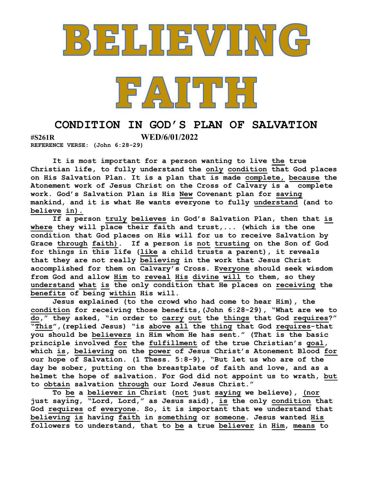

## CONDITION IN GOD'S PLAN OF SALVATION

#S261R WED/6/01/2022

REFERENCE VERSE: (John 6:28-29)

It is most important for a person wanting to live the true Christian life, to fully understand the only condition that God places on His Salvation Plan. It is a plan that is made complete, because the Atonement work of Jesus Christ on the Cross of Calvary is a complete work. God's Salvation Plan is His New Covenant plan for saving mankind, and it is what He wants everyone to fully understand (and to believe in).

If a person truly believes in God's Salvation Plan, then that is where they will place their faith and trust,... (which is the one condition that God places on His will for us to receive Salvation by Grace through faith). If a person is not trusting on the Son of God for things in this life (like a child trusts a parent), it reveals that they are not really believing in the work that Jesus Christ accomplished for them on Calvary's Cross. Everyone should seek wisdom from God and allow Him to reveal His divine will to them, so they understand what is the only condition that He places on receiving the benefits of being within His will.

Jesus explained (to the crowd who had come to hear Him), the condition for receiving those benefits,(John 6:28-29), "What are we to do," they asked, "in order to carry out the things that God requires?" "This",(replied Jesus) "is above all the thing that God requires-that you should be believers in Him whom He has sent." (That is the basic principle involved for the fulfillment of the true Christian's goal, which is, believing on the power of Jesus Christ's Atonement Blood for our hope of Salvation. (1 Thess. 5:8-9), "But let us who are of the day be sober, putting on the breastplate of faith and love, and as a helmet the hope of salvation. For God did not appoint us to wrath, but to obtain salvation through our Lord Jesus Christ."

To be a believer in Christ (not just saying we believe), (nor just saying,  $\overline{``Lord, Lord,'''}$  as Jesus said), is the only condition that God requires of everyone. So, it is important that we understand that believing is having faith in something or someone. Jesus wanted His followers to understand, that to be a true believer in Him, means to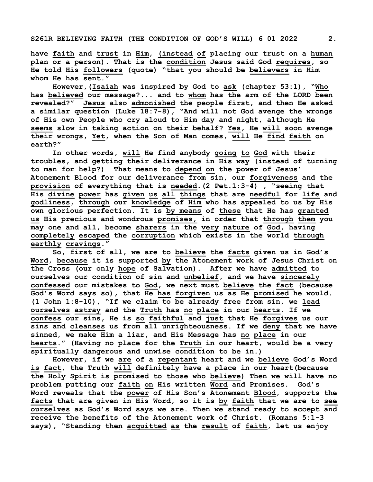have faith and trust in Him, (instead of placing our trust on a human plan or a person). That is the condition Jesus said God requires, so He told His followers (quote) "that you should be believers in Him whom He has sent."

However, (Isaiah was inspired by God to ask (chapter 53:1), "Who has believed our message?... and to whom has the arm of the LORD been revealed?" Jesus also admonished the people first, and then He asked a similar question (Luke 18:7-8), "And will not God avenge the wrongs of His own People who cry aloud to Him day and night, although He seems slow in taking action on their behalf? Yes, He will soon avenge their wrongs, Yet, when the Son of Man comes, will He find faith on earth?"

In other words, will He find anybody going to God with their troubles, and getting their deliverance in His way (instead of turning to man for help?) That means to depend on the power of Jesus' Atonement Blood for our deliverance from sin, our forgiveness and the provision of everything that is needed.(2 Pet.1:3-4) , "seeing that His divine power has given us all things that are needful for life and godliness, through our knowledge of Him who has appealed to us by His own glorious perfection. It is by means of these that He has granted us His precious and wondrous promises, in order that through them you may one and all, become sharers in the very nature of God, having completely escaped the corruption which exists in the world through earthly cravings."

So, first of all, we are to believe the facts given us in God's Word, because it is supported by the Atonement work of Jesus Christ on the Cross (our only hope of Salvation). After we have admitted to ourselves our condition of sin and unbelief, and we have sincerely confessed our mistakes to God, we next must believe the fact (because God's Word says so), that He has forgiven us as He promised he would. (1 John 1:8-10), "If we claim to be already free from sin, we lead ourselves astray and the Truth has no place in our hearts. If we confess our sins, He is so faithful and just that He forgives us our sins and cleanses us from all unrighteousness. If we deny that we have sinned, we make Him a liar, and His Message has no place in our hearts." (Having no place for the Truth in our heart, would be a very spiritually dangerous and unwise condition to be in.)

However, if we are of a repentant heart and we believe God's Word is fact, the Truth will definitely have a place in our heart(because the Holy Spirit is promised to those who believe) Then we will have no problem putting our faith on His written Word and Promises. God's Word reveals that the power of His Son's Atonement Blood, supports the facts that are given in His Word, so it is by faith that we are to see ourselves as God's Word says we are. Then we stand ready to accept and receive the benefits of the Atonement work of Christ. (Romans 5:1-3 says), "Standing then acquitted as the result of faith, let us enjoy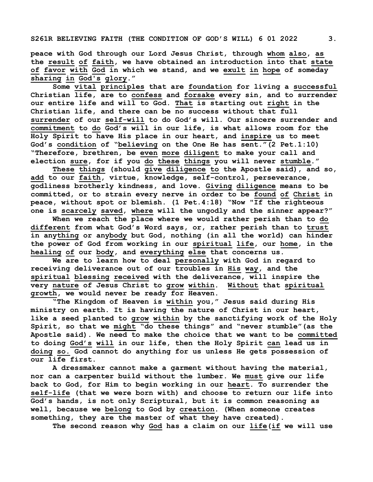peace with God through our Lord Jesus Christ, through whom also, as the result of faith, we have obtained an introduction into that state of favor with God in which we stand, and we exult in hope of someday sharing in God's glory."

Some vital principles that are foundation for living a successful Christian life, are to confess and forsake every sin, and to surrender our entire life and will to God. That is starting out right in the Christian life, and there can be no success without that full surrender of our self-will to do God's will. Our sincere surrender and commitment to do God's will in our life, is what allows room for the Holy Spirit to have His place in our heart, and inspire us to meet God's condition of "believing on the One He has  $\overline{sent."}$  (2 Pet.1:10) "Therefore, brethren, be even more diligent to make your call and election sure, for if you do these things you will never stumble."

These things (should give diligence to the Apostle said), and so, add to our faith, virtue, knowledge, self-control, perseverance, godliness brotherly kindness, and love. Giving diligence means to be committed, or to strain every nerve in order to be found of Christ in peace, without spot or blemish. (1 Pet.4:18) "Now "If the righteous one is scarcely saved, where will the ungodly and the sinner appear?"

When we reach the place where we would rather perish than to do different from what God's Word says, or, rather perish than to trust in anything or anybody but God, nothing (in all the world) can hinder the power of God from working in our spiritual life, our home, in the healing of our body, and everything else that concerns us.

We are to learn how to deal personally with God in regard to receiving deliverance out of our troubles in His way, and the spiritual blessing received with the deliverance, will inspire the very nature of Jesus Christ to grow within. Without that spiritual growth, we would never be ready for Heaven.

"The Kingdom of Heaven is within you," Jesus said during His ministry on earth. It is having the nature of Christ in our heart, like a seed planted to grow within by the sanctifying work of the Holy Spirit, so that we might "do these things" and "never stumble" (as the Apostle said). We need to make the choice that we want to be committed to doing God's will in our life, then the Holy Spirit can lead us in doing so. God cannot do anything for us unless He gets possession of our life first.

A dressmaker cannot make a garment without having the material, nor can a carpenter build without the lumber. We must give our life back to God, for Him to begin working in our heart. To surrender the self-life (that we were born with) and choose to return our life into God's hands, is not only Scriptural, but it is common reasoning as well, because we belong to God by creation. (When someone creates something, they are the master of what they have created).

The second reason why God has a claim on our life(if we will use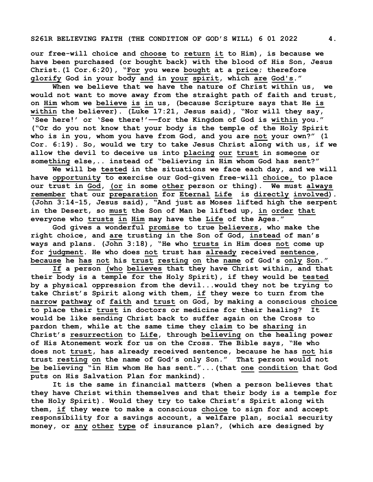our free-will choice and choose to return it to Him), is because we have been purchased (or bought back) with the blood of His Son, Jesus Christ.(1 Cor.6:20), "For you were bought at a price; therefore glorify God in your body and in your spirit, which are God's."

When we believe that we have the nature of Christ within us, we would not want to move away from the straight path of faith and trust, on Him whom we believe is in us, (because Scripture says that He is within the believer). (Luke 17:21, Jesus said), "Nor will they say, 'See here!' or 'See there!'——for the Kingdom of God is within you." ("Or do you not know that your body is the temple of the Holy Spirit who is in you, whom you have from God, and you are not your own?" (1 Cor. 6:19). So, would we try to take Jesus Christ along with us, if we allow the devil to deceive us into placing our trust in someone or something else,.. instead of "believing in Him whom God has sent?"

We will be tested in the situations we face each day, and we will have opportunity to exercise our God-given free-will choice, to place our trust in God, (or in some other person or thing). We must always remember that our preparation for Eternal Life is directly involved). (John 3:14-15, Jesus said), "And just as Moses lifted high the serpent in the Desert, so must the Son of Man be lifted up, in order that everyone who trusts in Him may have the Life of the Ages."

God gives a wonderful promise to true believers, who make the right choice, and are trusting in the Son of God, instead of man's ways and plans. (John 3:18), "He who trusts in Him does not come up for judgment. He who does not trust has already received sentence, because he has not his trust resting on the name of God's only Son."

If a person (who believes that they have Christ within, and that their body is a temple for the Holy Spirit), if they would be tested by a physical oppression from the devil...would they not be trying to take Christ's Spirit along with them, if they were to turn from the narrow pathway of faith and trust on  $God$ , by making a conscious choice to place their trust in doctors or medicine for their healing? It would be like sending Christ back to suffer again on the Cross to pardon them, while at the same time they claim to be sharing in Christ's resurrection to Life, through believing on the healing power of His Atonement work for us on the Cross. The Bible says, "He who does not trust, has already received sentence, because he has not his trust resting on the name of God's only Son." That person would not be believing "in Him whom He has sent."...(that one condition that God puts on His Salvation Plan for mankind).

It is the same in financial matters (when a person believes that they have Christ within themselves and that their body is a temple for the Holy Spirit). Would they try to take Christ's Spirit along with them, if they were to make a conscious choice to sign for and accept responsibility for a savings account, a welfare plan, social security money, or any other type of insurance plan?, (which are designed by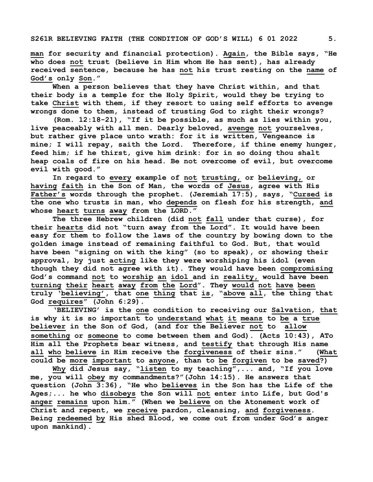man for security and financial protection). Again, the Bible says, "He who does not trust (believe in Him whom He has sent), has already received sentence, because he has not his trust resting on the name of God's only Son."

When a person believes that they have Christ within, and that their body is a temple for the Holy Spirit, would they be trying to take Christ with them, if they resort to using self efforts to avenge wrongs done to them, instead of trusting God to right their wrongs?

(Rom. 12:18-21), "If it be possible, as much as lies within you, live peaceably with all men. Dearly beloved, avenge not yourselves, but rather give place unto wrath: for it is written, Vengeance is mine; I will repay, saith the Lord. Therefore, if thine enemy hunger, feed him; if he thirst, give him drink: for in so doing thou shalt heap coals of fire on his head. Be not overcome of evil, but overcome evil with good."

In regard to every example of not trusting, or believing, or having faith in the Son of Man, the words of Jesus, agree with His Father's words through the prophet. (Jeremiah 17:5), says, "Cursed is the one who trusts in man, who depends on flesh for his strength, and whose heart turns away from the LORD."

The three Hebrew children (did not fall under that curse), for their hearts did not "turn away from the Lord". It would have been easy for them to follow the laws of the country by bowing down to the golden image instead of remaining faithful to God. But, that would have been "signing on with the king" (so to speak), or showing their approval, by just acting like they were worshiping his idol (even though they did not agree with it). They would have been compromising God's command not to worship an idol and in reality, would have been turning their heart away from the Lord". They would not have been truly 'believing', that one thing that is, "above all, the thing that God requires" (John 6:29).

'BELIEVING' is the one condition to receiving our Salvation, that is why it is so important to understand what it means to be a true believer in the Son of God, (and for the Believer not to allow something or someone to come between them and God). (Acts 10:43), ATo Him all the Prophets bear witness, and testify that through His name all who believe in Him receive the forgiveness of their sins." (What could be more important to anyone, than to be forgiven to be saved?)

Why did Jesus say, "listen to my teaching",... and, "If you love me, you will obey my commandments?"(John 14:15). He answers that question (John 3:36), "He who believes in the Son has the Life of the Ages;... he who disobeys the Son will not enter into Life, but God's anger remains upon him." (When we believe on the Atonement work of Christ and repent, we receive pardon, cleansing, and forgiveness. Being redeemed by His shed Blood, we come out from under God's anger upon mankind).